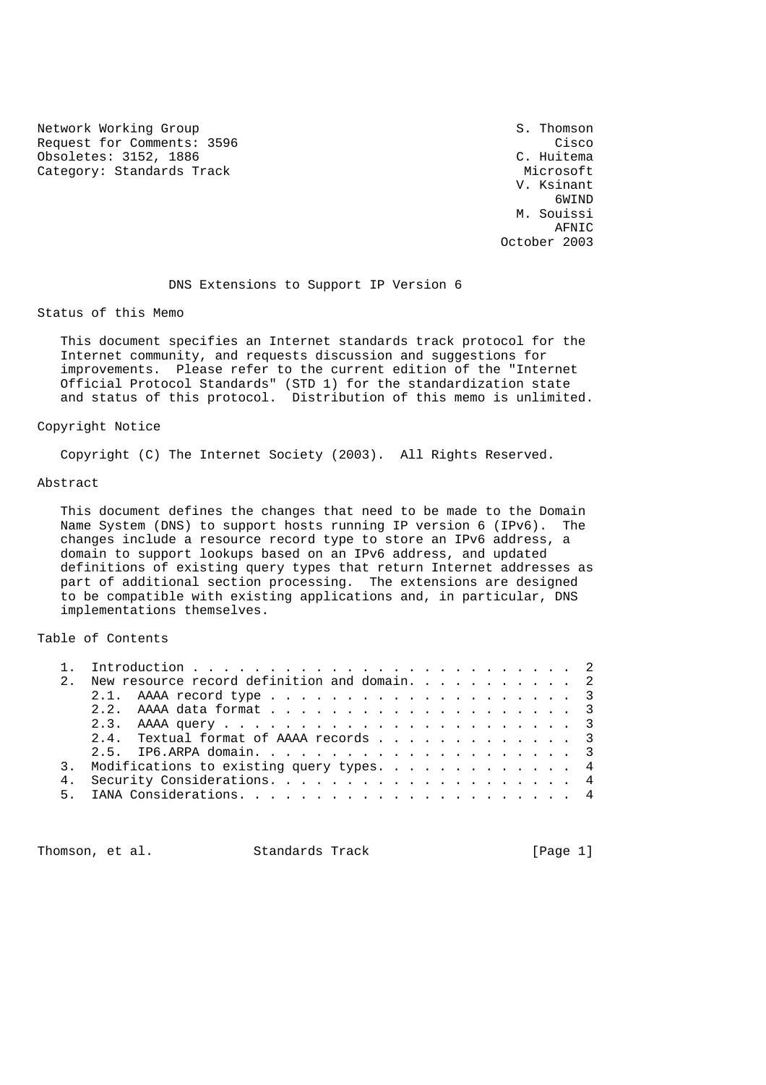Network Working Group S. Thomson Request for Comments: 3596 Cisco Cisco Cisco Cisco Cisco Cisco Cisco Cisco Cisco Cisco C. Huitema<br>
C. Huitema Obsoletes: 3152, 1886 Category: Standards Track Microsoft Microsoft Microsoft

 V. Ksinant experience of the contract of the contract of the contract of the contract of the contract of the contract of the contract of the contract of the contract of the contract of the contract of the contract of the contract of M. Souissi AFNIC October 2003

DNS Extensions to Support IP Version 6

Status of this Memo

 This document specifies an Internet standards track protocol for the Internet community, and requests discussion and suggestions for improvements. Please refer to the current edition of the "Internet Official Protocol Standards" (STD 1) for the standardization state and status of this protocol. Distribution of this memo is unlimited.

Copyright Notice

Copyright (C) The Internet Society (2003). All Rights Reserved.

Abstract

 This document defines the changes that need to be made to the Domain Name System (DNS) to support hosts running IP version 6 (IPv6). The changes include a resource record type to store an IPv6 address, a domain to support lookups based on an IPv6 address, and updated definitions of existing query types that return Internet addresses as part of additional section processing. The extensions are designed to be compatible with existing applications and, in particular, DNS implementations themselves.

Table of Contents

|  | New resource record definition and domain. 2 |
|--|----------------------------------------------|
|  |                                              |
|  |                                              |
|  |                                              |
|  | 2.4. Textual format of AAAA records 3        |
|  |                                              |
|  | 3. Modifications to existing query types. 4  |
|  |                                              |
|  |                                              |
|  |                                              |

Thomson, et al. Standards Track [Page 1]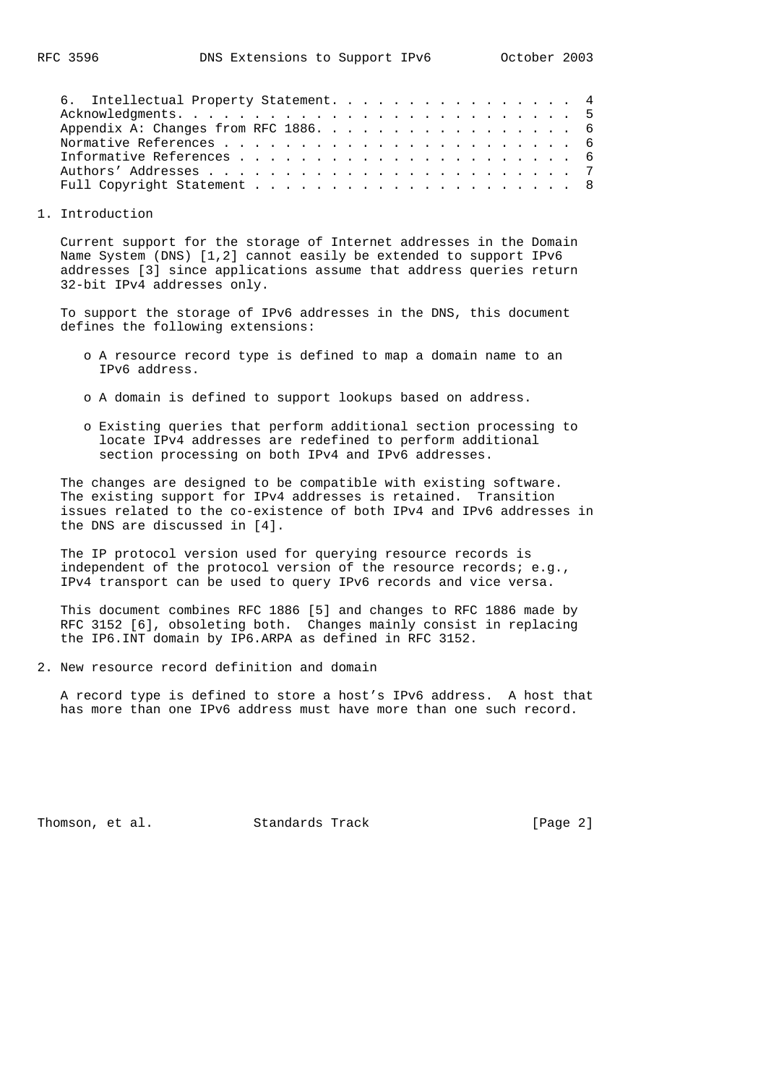| 6. Intellectual Property Statement. 4 |  |  |  |  |  |  |  |  |  |  |  |
|---------------------------------------|--|--|--|--|--|--|--|--|--|--|--|
|                                       |  |  |  |  |  |  |  |  |  |  |  |
| Appendix A: Changes from RFC 1886. 6  |  |  |  |  |  |  |  |  |  |  |  |
|                                       |  |  |  |  |  |  |  |  |  |  |  |
|                                       |  |  |  |  |  |  |  |  |  |  |  |
|                                       |  |  |  |  |  |  |  |  |  |  |  |
|                                       |  |  |  |  |  |  |  |  |  |  |  |

1. Introduction

 Current support for the storage of Internet addresses in the Domain Name System (DNS) [1,2] cannot easily be extended to support IPv6 addresses [3] since applications assume that address queries return 32-bit IPv4 addresses only.

 To support the storage of IPv6 addresses in the DNS, this document defines the following extensions:

- o A resource record type is defined to map a domain name to an IPv6 address.
- o A domain is defined to support lookups based on address.
- o Existing queries that perform additional section processing to locate IPv4 addresses are redefined to perform additional section processing on both IPv4 and IPv6 addresses.

 The changes are designed to be compatible with existing software. The existing support for IPv4 addresses is retained. Transition issues related to the co-existence of both IPv4 and IPv6 addresses in the DNS are discussed in [4].

 The IP protocol version used for querying resource records is independent of the protocol version of the resource records; e.g., IPv4 transport can be used to query IPv6 records and vice versa.

 This document combines RFC 1886 [5] and changes to RFC 1886 made by RFC 3152 [6], obsoleting both. Changes mainly consist in replacing the IP6.INT domain by IP6.ARPA as defined in RFC 3152.

2. New resource record definition and domain

 A record type is defined to store a host's IPv6 address. A host that has more than one IPv6 address must have more than one such record.

Thomson, et al. Standards Track [Page 2]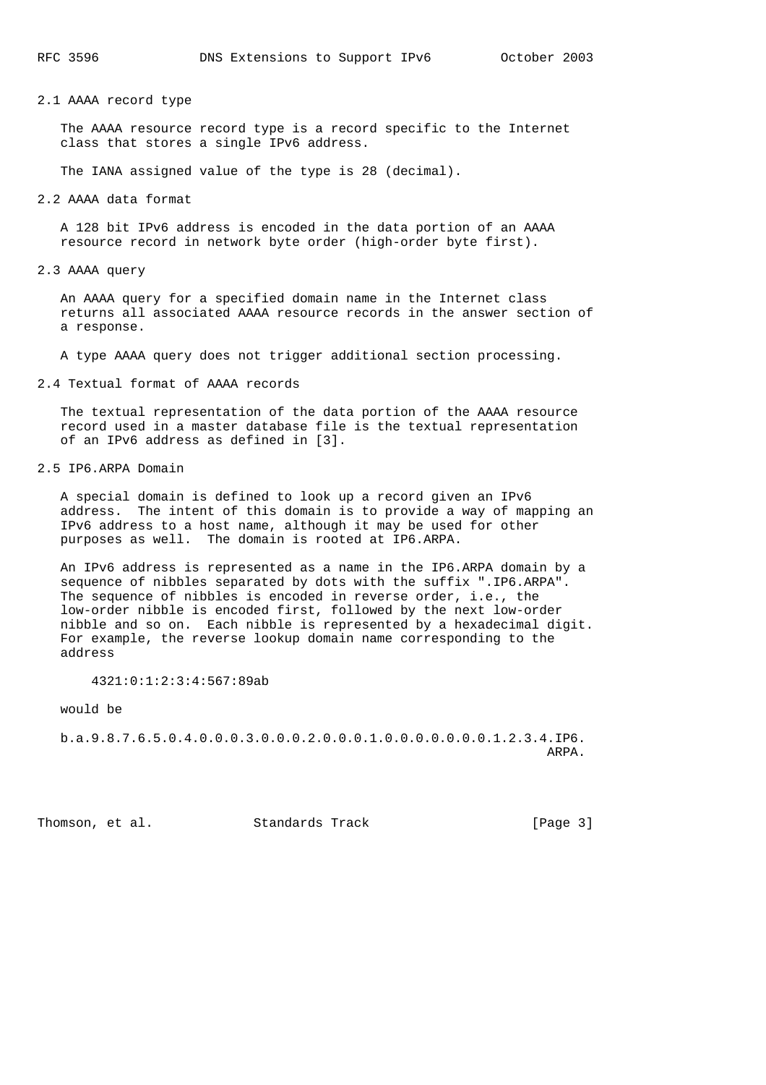## 2.1 AAAA record type

 The AAAA resource record type is a record specific to the Internet class that stores a single IPv6 address.

The IANA assigned value of the type is 28 (decimal).

2.2 AAAA data format

 A 128 bit IPv6 address is encoded in the data portion of an AAAA resource record in network byte order (high-order byte first).

2.3 AAAA query

 An AAAA query for a specified domain name in the Internet class returns all associated AAAA resource records in the answer section of a response.

A type AAAA query does not trigger additional section processing.

2.4 Textual format of AAAA records

 The textual representation of the data portion of the AAAA resource record used in a master database file is the textual representation of an IPv6 address as defined in [3].

2.5 IP6.ARPA Domain

 A special domain is defined to look up a record given an IPv6 address. The intent of this domain is to provide a way of mapping an IPv6 address to a host name, although it may be used for other purposes as well. The domain is rooted at IP6.ARPA.

 An IPv6 address is represented as a name in the IP6.ARPA domain by a sequence of nibbles separated by dots with the suffix ".IP6.ARPA". The sequence of nibbles is encoded in reverse order, i.e., the low-order nibble is encoded first, followed by the next low-order nibble and so on. Each nibble is represented by a hexadecimal digit. For example, the reverse lookup domain name corresponding to the address

4321:0:1:2:3:4:567:89ab

would be

 b.a.9.8.7.6.5.0.4.0.0.0.3.0.0.0.2.0.0.0.1.0.0.0.0.0.0.0.1.2.3.4.IP6.  $\mathsf{ARPA}$  .

Thomson, et al. Standards Track [Page 3]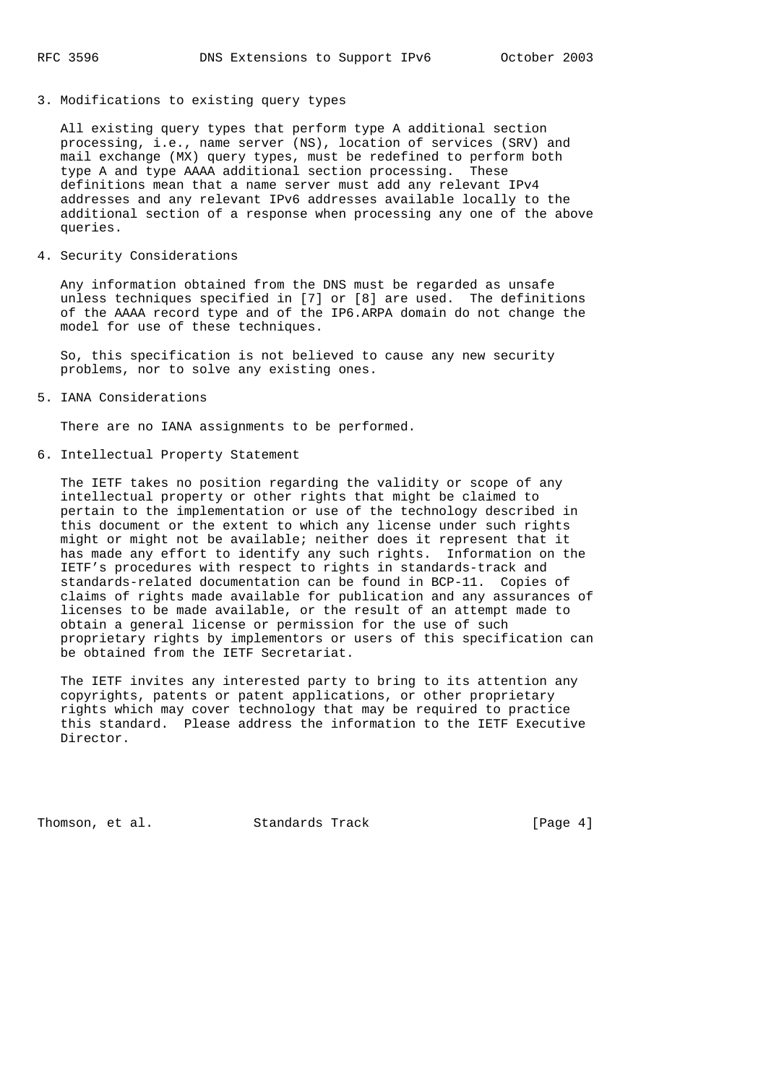3. Modifications to existing query types

 All existing query types that perform type A additional section processing, i.e., name server (NS), location of services (SRV) and mail exchange (MX) query types, must be redefined to perform both type A and type AAAA additional section processing. These definitions mean that a name server must add any relevant IPv4 addresses and any relevant IPv6 addresses available locally to the additional section of a response when processing any one of the above queries.

4. Security Considerations

 Any information obtained from the DNS must be regarded as unsafe unless techniques specified in [7] or [8] are used. The definitions of the AAAA record type and of the IP6.ARPA domain do not change the model for use of these techniques.

 So, this specification is not believed to cause any new security problems, nor to solve any existing ones.

5. IANA Considerations

There are no IANA assignments to be performed.

6. Intellectual Property Statement

 The IETF takes no position regarding the validity or scope of any intellectual property or other rights that might be claimed to pertain to the implementation or use of the technology described in this document or the extent to which any license under such rights might or might not be available; neither does it represent that it has made any effort to identify any such rights. Information on the IETF's procedures with respect to rights in standards-track and standards-related documentation can be found in BCP-11. Copies of claims of rights made available for publication and any assurances of licenses to be made available, or the result of an attempt made to obtain a general license or permission for the use of such proprietary rights by implementors or users of this specification can be obtained from the IETF Secretariat.

 The IETF invites any interested party to bring to its attention any copyrights, patents or patent applications, or other proprietary rights which may cover technology that may be required to practice this standard. Please address the information to the IETF Executive Director.

Thomson, et al. Standards Track [Page 4]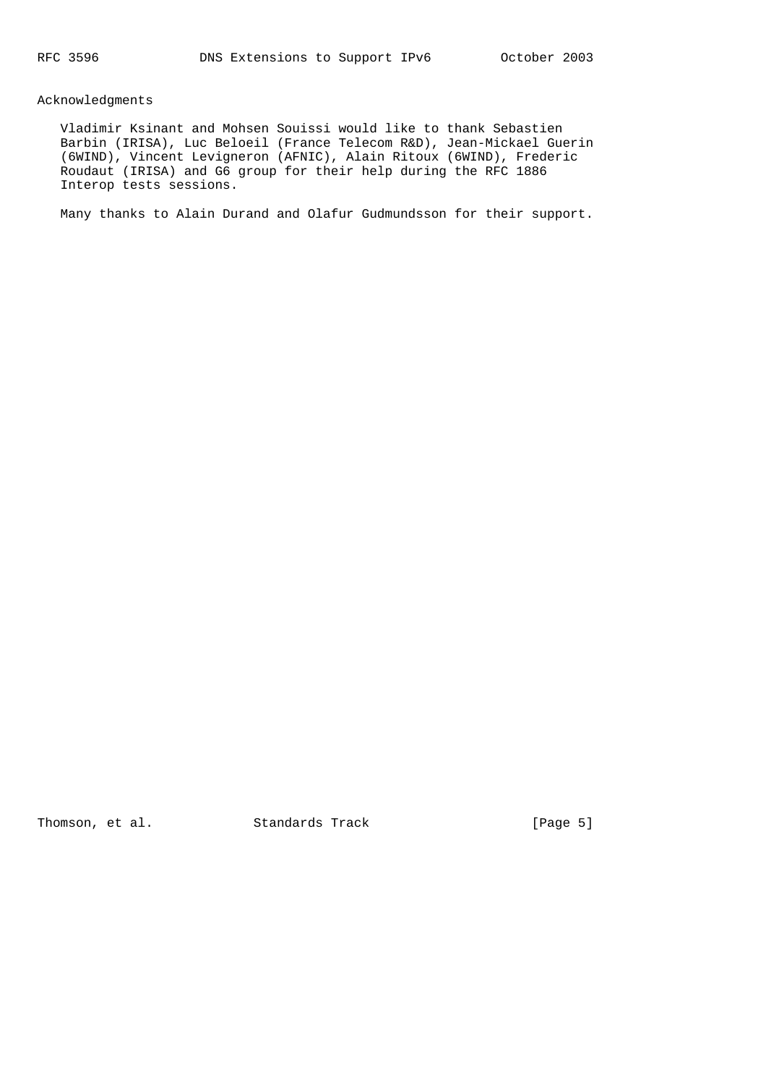Acknowledgments

 Vladimir Ksinant and Mohsen Souissi would like to thank Sebastien Barbin (IRISA), Luc Beloeil (France Telecom R&D), Jean-Mickael Guerin (6WIND), Vincent Levigneron (AFNIC), Alain Ritoux (6WIND), Frederic Roudaut (IRISA) and G6 group for their help during the RFC 1886 Interop tests sessions.

Many thanks to Alain Durand and Olafur Gudmundsson for their support.

Thomson, et al. Standards Track [Page 5]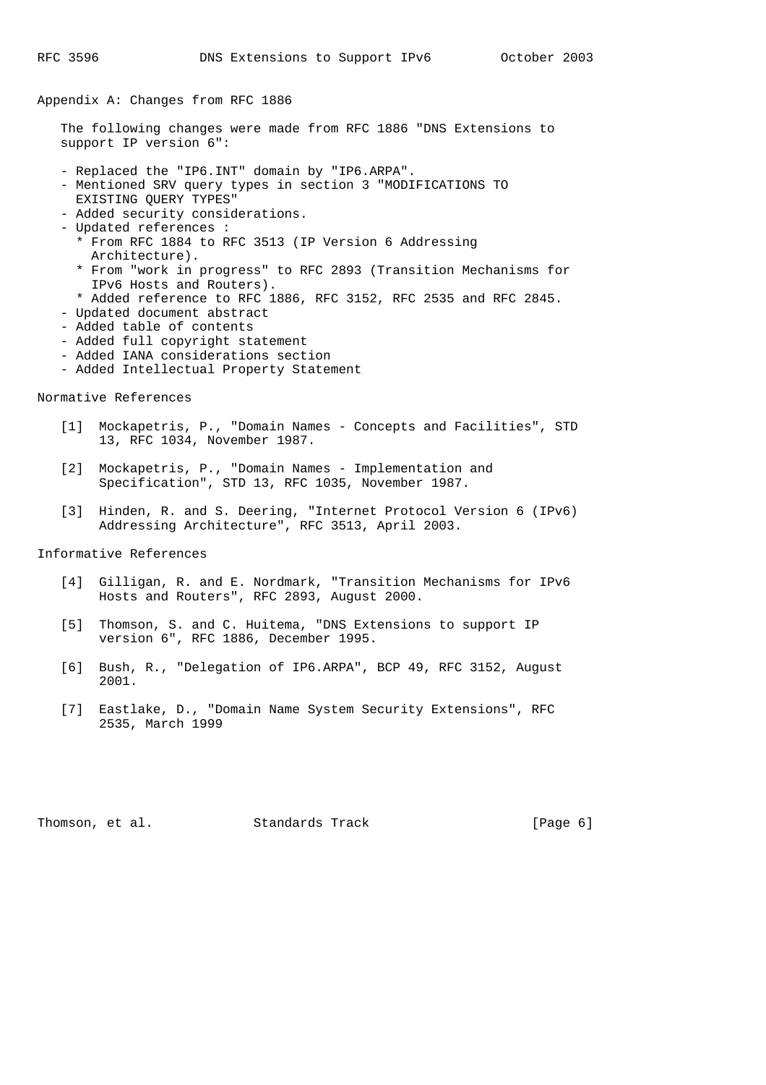Appendix A: Changes from RFC 1886

- The following changes were made from RFC 1886 "DNS Extensions to support IP version 6":
- Replaced the "IP6.INT" domain by "IP6.ARPA".
- Mentioned SRV query types in section 3 "MODIFICATIONS TO EXISTING QUERY TYPES"
- Added security considerations.
- Updated references :
	- \* From RFC 1884 to RFC 3513 (IP Version 6 Addressing Architecture).
	- \* From "work in progress" to RFC 2893 (Transition Mechanisms for IPv6 Hosts and Routers).
	- \* Added reference to RFC 1886, RFC 3152, RFC 2535 and RFC 2845.
- Updated document abstract
- Added table of contents
- Added full copyright statement
- Added IANA considerations section
- Added Intellectual Property Statement

Normative References

- [1] Mockapetris, P., "Domain Names Concepts and Facilities", STD 13, RFC 1034, November 1987.
- [2] Mockapetris, P., "Domain Names Implementation and Specification", STD 13, RFC 1035, November 1987.
- [3] Hinden, R. and S. Deering, "Internet Protocol Version 6 (IPv6) Addressing Architecture", RFC 3513, April 2003.

Informative References

- [4] Gilligan, R. and E. Nordmark, "Transition Mechanisms for IPv6 Hosts and Routers", RFC 2893, August 2000.
- [5] Thomson, S. and C. Huitema, "DNS Extensions to support IP version 6", RFC 1886, December 1995.
- [6] Bush, R., "Delegation of IP6.ARPA", BCP 49, RFC 3152, August 2001.
- [7] Eastlake, D., "Domain Name System Security Extensions", RFC 2535, March 1999

Thomson, et al. Standards Track [Page 6]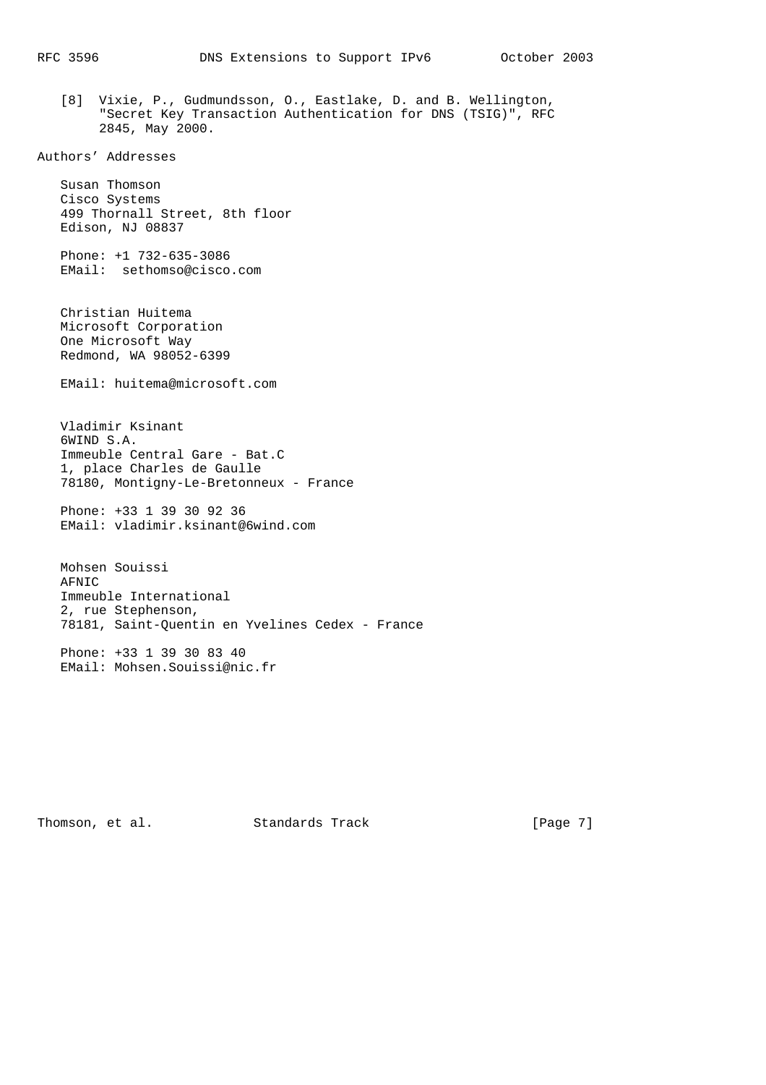[8] Vixie, P., Gudmundsson, O., Eastlake, D. and B. Wellington, "Secret Key Transaction Authentication for DNS (TSIG)", RFC 2845, May 2000.

```
Authors' Addresses
```
 Susan Thomson Cisco Systems 499 Thornall Street, 8th floor Edison, NJ 08837

 Phone: +1 732-635-3086 EMail: sethomso@cisco.com

 Christian Huitema Microsoft Corporation One Microsoft Way Redmond, WA 98052-6399

EMail: huitema@microsoft.com

```
 Vladimir Ksinant
 6WIND S.A.
 Immeuble Central Gare - Bat.C
 1, place Charles de Gaulle
 78180, Montigny-Le-Bretonneux - France
```
 Phone: +33 1 39 30 92 36 EMail: vladimir.ksinant@6wind.com

 Mohsen Souissi AFNIC Immeuble International 2, rue Stephenson, 78181, Saint-Quentin en Yvelines Cedex - France

 Phone: +33 1 39 30 83 40 EMail: Mohsen.Souissi@nic.fr

Thomson, et al. Standards Track [Page 7]